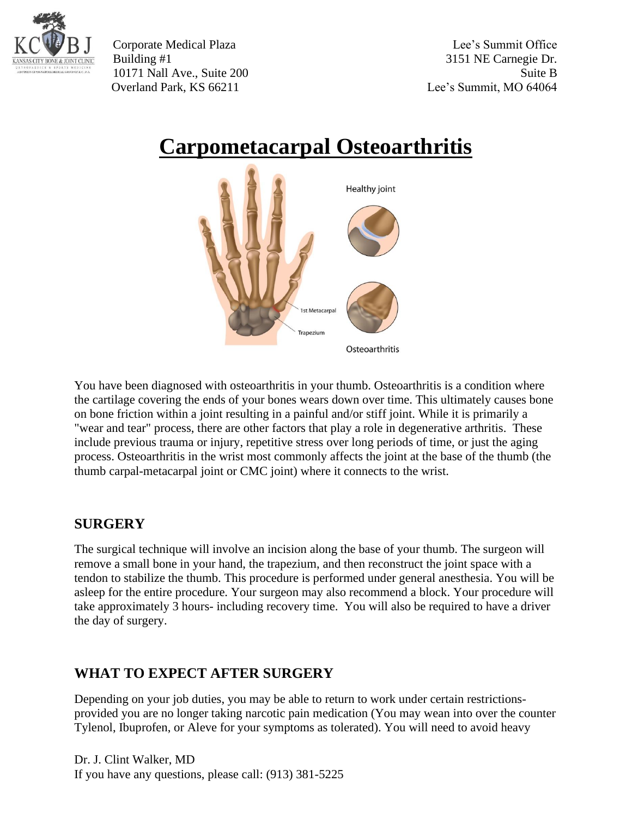

Corporate Medical Plaza Lee's Summit Office Building #1 3151 NE Carnegie Dr. 10171 Nall Ave., Suite 200 Suite B Overland Park, KS 66211 Lee's Summit, MO 64064

## **Carpometacarpal Osteoarthritis**



You have been diagnosed with osteoarthritis in your thumb. Osteoarthritis is a condition where the cartilage covering the ends of your bones wears down over time. This ultimately causes bone on bone friction within a joint resulting in a painful and/or stiff joint. While it is primarily a "wear and tear" process, there are other factors that play a role in degenerative arthritis. These include previous trauma or injury, repetitive stress over long periods of time, or just the aging process. Osteoarthritis in the wrist most commonly affects the joint at the base of the thumb (the thumb carpal-metacarpal joint or CMC joint) where it connects to the wrist.

## **SURGERY**

The surgical technique will involve an incision along the base of your thumb. The surgeon will remove a small bone in your hand, the trapezium, and then reconstruct the joint space with a tendon to stabilize the thumb. This procedure is performed under general anesthesia. You will be asleep for the entire procedure. Your surgeon may also recommend a block. Your procedure will take approximately 3 hours- including recovery time. You will also be required to have a driver the day of surgery.

## **WHAT TO EXPECT AFTER SURGERY**

Depending on your job duties, you may be able to return to work under certain restrictionsprovided you are no longer taking narcotic pain medication (You may wean into over the counter Tylenol, Ibuprofen, or Aleve for your symptoms as tolerated). You will need to avoid heavy